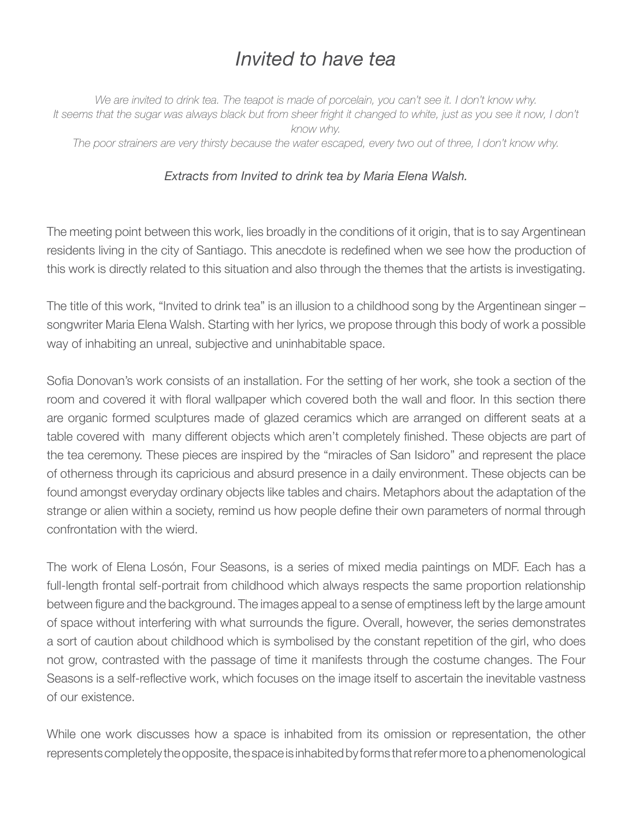## *Invited to have tea*

*We are invited to drink tea. The teapot is made of porcelain, you can't see it. I don't know why.* It seems that the sugar was always black but from sheer fright it changed to white, just as you see it now, I don't *know why. The poor strainers are very thirsty because the water escaped, every two out of three, I don't know why.*

## *Extracts from Invited to drink tea by Maria Elena Walsh.*

The meeting point between this work, lies broadly in the conditions of it origin, that is to say Argentinean residents living in the city of Santiago. This anecdote is redefined when we see how the production of this work is directly related to this situation and also through the themes that the artists is investigating.

The title of this work, "Invited to drink tea" is an illusion to a childhood song by the Argentinean singer – songwriter Maria Elena Walsh. Starting with her lyrics, we propose through this body of work a possible way of inhabiting an unreal, subjective and uninhabitable space.

Sofia Donovan's work consists of an installation. For the setting of her work, she took a section of the room and covered it with floral wallpaper which covered both the wall and floor. In this section there are organic formed sculptures made of glazed ceramics which are arranged on different seats at a table covered with many different objects which aren't completely finished. These objects are part of the tea ceremony. These pieces are inspired by the "miracles of San Isidoro" and represent the place of otherness through its capricious and absurd presence in a daily environment. These objects can be found amongst everyday ordinary objects like tables and chairs. Metaphors about the adaptation of the strange or alien within a society, remind us how people define their own parameters of normal through confrontation with the wierd.

The work of Elena Losón, Four Seasons, is a series of mixed media paintings on MDF. Each has a full-length frontal self-portrait from childhood which always respects the same proportion relationship between figure and the background. The images appeal to a sense of emptiness left by the large amount of space without interfering with what surrounds the figure. Overall, however, the series demonstrates a sort of caution about childhood which is symbolised by the constant repetition of the girl, who does not grow, contrasted with the passage of time it manifests through the costume changes. The Four Seasons is a self-reflective work, which focuses on the image itself to ascertain the inevitable vastness of our existence.

While one work discusses how a space is inhabited from its omission or representation, the other represents completely the opposite, the space is inhabited by forms that refer more to a phenomenological